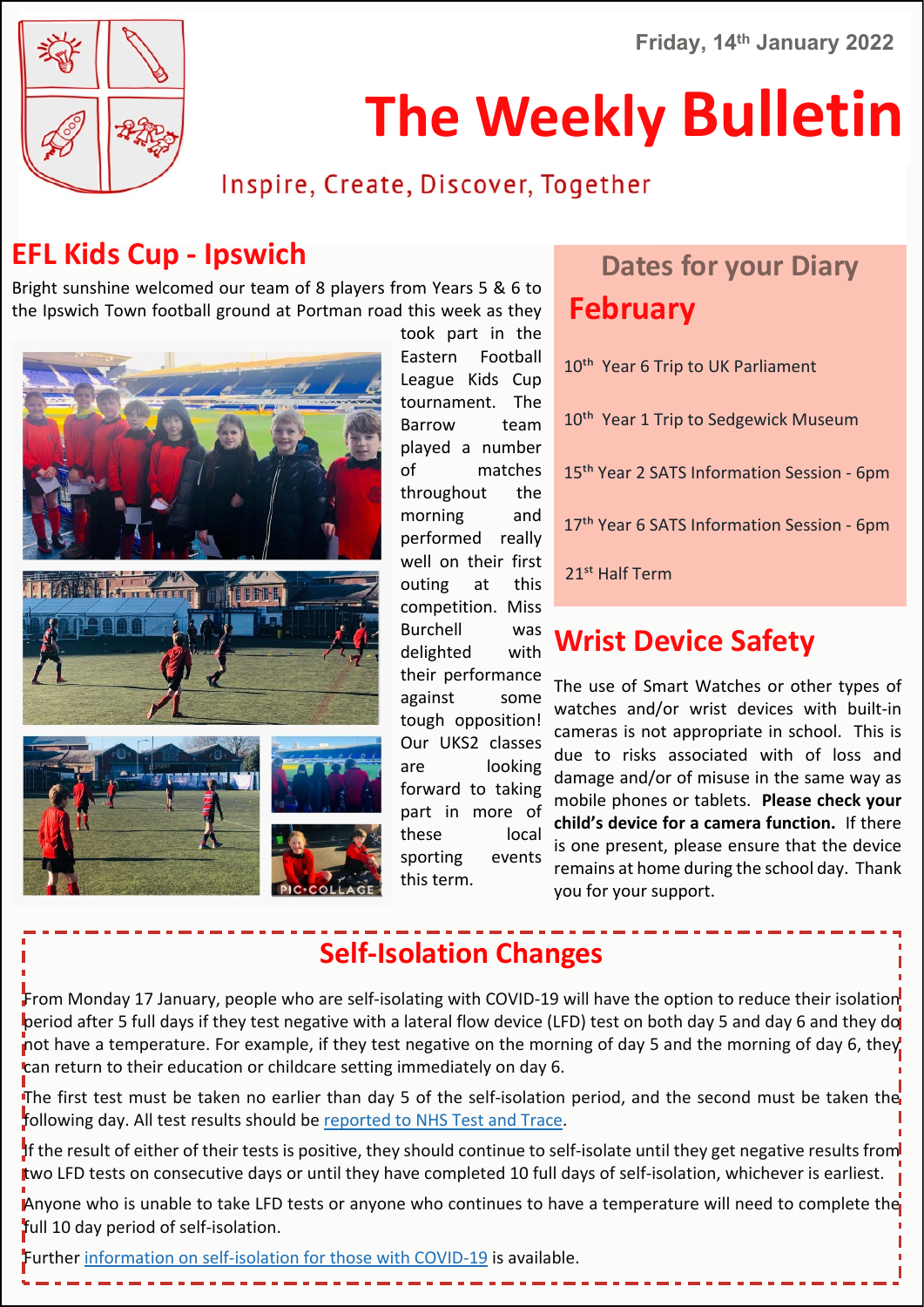**Friday, 14th January 2022**



## **The Weekly Bulletin**

### Inspire, Create, Discover, Together

## **EFL Kids Cup - Ipswich Dates for your Diary**

Bright sunshine welcomed our team of 8 players from Years 5 & 6 to the Ipswich Town football ground at Portman road this week as they



took part in the Eastern Football League Kids Cup tournament. The Barrow team played a number of matches throughout the morning and performed really well on their first outing at this competition. Miss Burchell was delighted with their performance against some tough opposition! Our UKS2 classes are looking forward to taking part in more of these local sporting events this term.

# **February**

10<sup>th</sup> Year 6 Trip to UK Parliament 10<sup>th</sup> Year 1 Trip to Sedgewick Museum 15<sup>th</sup> Year 2 SATS Information Session - 6pm 17<sup>th</sup> Year 6 SATS Information Session - 6pm 21<sup>st</sup> Half Term

### **Wrist Device Safety**

The use of Smart Watches or other types of watches and/or wrist devices with built-in cameras is not appropriate in school. This is due to risks associated with of loss and damage and/or of misuse in the same way as mobile phones or tablets. **Please check your child's device for a camera function.** If there is one present, please ensure that the device remains at home during the school day. Thank you for your support.

## **Self-Isolation Changes**

From Monday 17 January, people who are self-isolating with COVID-19 will have the option to reduce their isolation period after 5 full days if they test negative with a lateral flow device (LFD) test on both day 5 and day 6 and they do not have a temperature. For example, if they test negative on the morning of day 5 and the morning of day 6, they can return to their education or childcare setting immediately on day 6.

The first test must be taken no earlier than day 5 of the self-isolation period, and the second must be taken the following day. All test results should be reported to NHS Test and Trace.

If the result of either of their tests is positive, they should continue to self-isolate until they get negative results from two LFD tests on consecutive days or until they have completed 10 full days of self-isolation, whichever is earliest.

Anyone who is unable to take LFD tests or anyone who continues to have a temperature will need to complete the full 10 day period of self-isolation.

Further information on self-isolation for those with COVID-19 is available.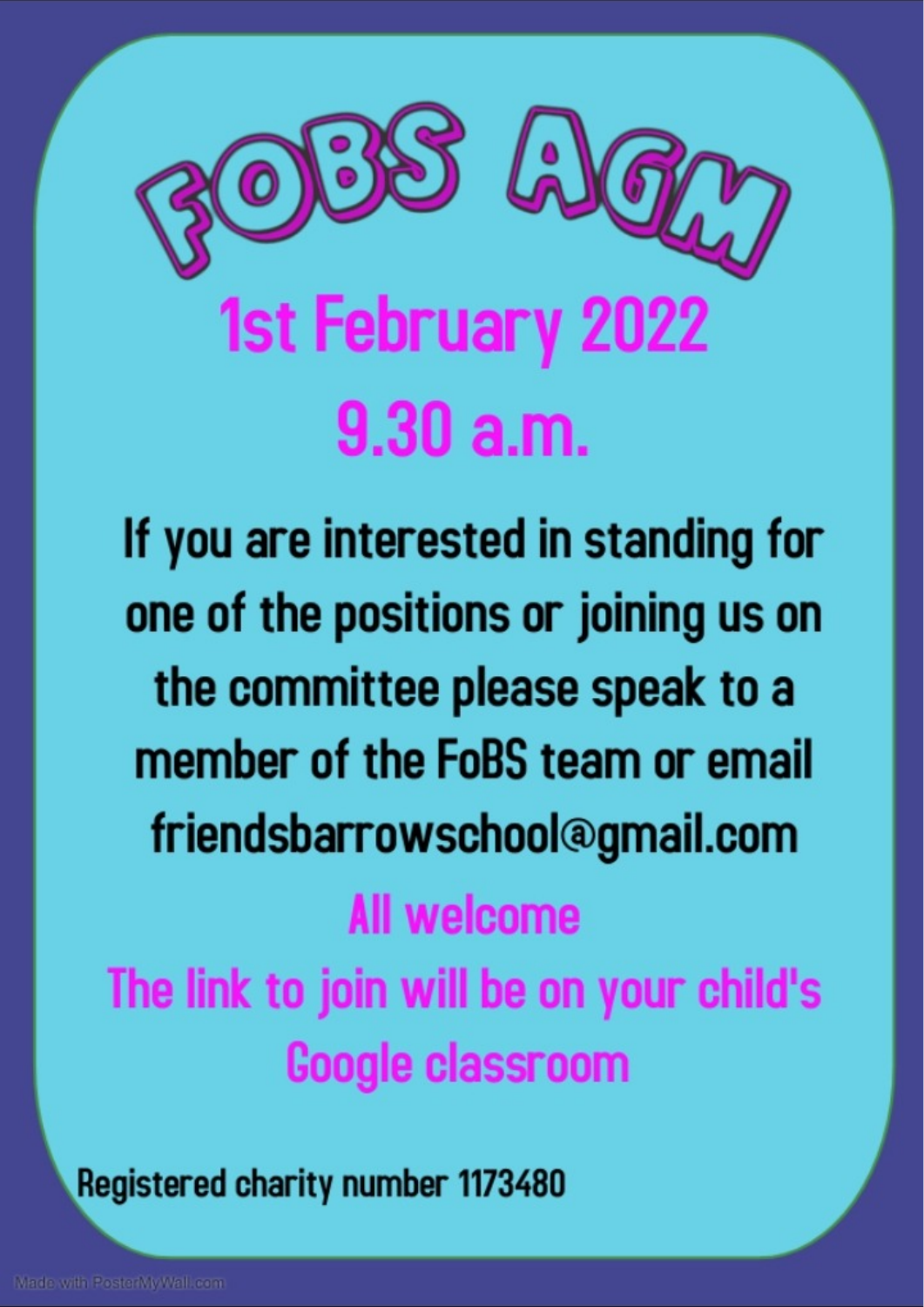

If you are interested in standing for one of the positions or joining us on the committee please speak to a member of the FoBS team or email friendsbarrowschool@gmail.com **All welcome** The link to join will be on your child's **Google classroom** 

Registered charity number 1173480